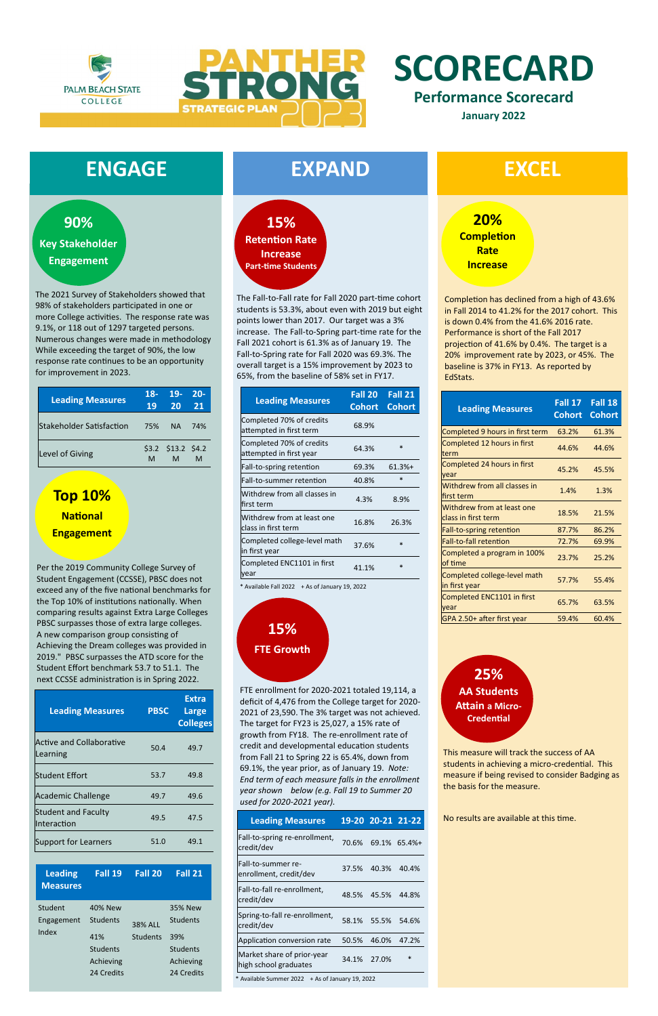# **ENGAGE EXPAND EXCEL**





**Performance Scorecard SCORECARD**

**January 2022**

**90% Key Stakeholder Engagement**

The 2021 Survey of Stakeholders showed that 98% of stakeholders participated in one or more College activities. The response rate was 9.1%, or 118 out of 1297 targeted persons. Numerous changes were made in methodology While exceeding the target of 90%, the low response rate continues to be an opportunity for improvement in 2023.

**15% Retention Rate Increase Part-time Students**

The Fall-to-Fall rate for Fall 2020 part-time cohort students is 53.3%, about even with 2019 but eight points lower than 2017. Our target was a 3% increase. The Fall-to-Spring part-time rate for the Fall 2021 cohort is 61.3% as of January 19. The Fall-to-Spring rate for Fall 2020 was 69.3%. The overall target is a 15% improvement by 2023 to 65%, from the baseline of 58% set in FY17.

## **Top 10% National Engagement**

Per the 2019 Community College Survey of Student Engagement (CCSSE), PBSC does not exceed any of the five national benchmarks for the Top 10% of institutions nationally. When comparing results against Extra Large Colleges PBSC surpasses those of extra large colleges. A new comparison group consisting of Achieving the Dream colleges was provided in 2019." PBSC surpasses the ATD score for the Student Effort benchmark 53.7 to 51.1. The next CCSSE administration is in Spring 2022.

Completion has declined from a high of 43.6% in Fall 2014 to 41.2% for the 2017 cohort. This is down 0.4% from the 41.6% 2016 rate. Performance is short of the Fall 2017 projection of 41.6% by 0.4%. The target is a 20% improvement rate by 2023, or 45%. The baseline is 37% in FY13. As reported by EdStats.

**20% Completion Rate Increase**

FTE enrollment for 2020-2021 totaled 19,114, a deficit of 4,476 from the College target for 2020- 2021 of 23,590. The 3% target was not achieved. The target for FY23 is 25,027, a 15% rate of growth from FY18. The re-enrollment rate of credit and developmental education students from Fall 21 to Spring 22 is 65.4%, down from 69.1%, the year prior, as of January 19. *Note: End term of each measure falls in the enrollment year shown below (e.g. Fall 19 to Summer 20 used for 2020-2021 year).*



**25% AA Students Attain a Micro-Credential**

This measure will track the success of AA students in achieving a micro-credential. This measure if being revised to consider Badging as the basis for the measure.

No results are available at this time.

| <b>Leading Measures</b>                             | Fall 20<br><b>Cohort</b> | Fall $21$<br><b>Cohort</b> |
|-----------------------------------------------------|--------------------------|----------------------------|
| Completed 70% of credits<br>attempted in first term | 68.9%                    |                            |
| Completed 70% of credits<br>attempted in first year | 64.3%                    | *                          |
| Fall-to-spring retention                            | 69.3%                    | $61.3%+$                   |
| Fall-to-summer retention                            | 40.8%                    | $\ast$                     |
| Withdrew from all classes in<br>first term          | 4.3%                     | 8.9%                       |
| Withdrew from at least one<br>class in first term   | 16.8%                    | 26.3%                      |
| Completed college-level math<br>in first year       | 37.6%                    | $\ast$                     |
| Completed ENC1101 in first<br>vear                  | 41.1%                    | $\ast$                     |

| <b>Leading Measures</b>                             |       | 19-20 20-21 21-22 |              |
|-----------------------------------------------------|-------|-------------------|--------------|
| Fall-to-spring re-enrollment,<br>credit/dev         | 70.6% |                   | 69.1% 65.4%+ |
| Fall-to-summer re-<br>enrollment, credit/dev        | 37.5% | 40.3%             | 40.4%        |
| Fall-to-fall re-enrollment,<br>credit/dev           | 48.5% | 45.5%             | 44.8%        |
| Spring-to-fall re-enrollment,<br>credit/dev         | 58.1% | 55.5%             | 54.6%        |
| Application conversion rate                         | 50.5% | 46.0%             | 47.2%        |
| Market share of prior-year<br>high school graduates | 34.1% | 27.0%             | $\ast$       |
|                                                     |       |                   |              |

| <b>Leading Measures</b>                           | <b>Fall 17</b><br><b>Cohort</b> | <b>Fall 18</b><br><b>Cohort</b> |
|---------------------------------------------------|---------------------------------|---------------------------------|
| Completed 9 hours in first term                   | 63.2%                           | 61.3%                           |
| Completed 12 hours in first<br>term               | 44.6%                           | 44.6%                           |
| Completed 24 hours in first<br>year               | 45.2%                           | 45.5%                           |
| Withdrew from all classes in<br>first term        | 1.4%                            | 1.3%                            |
| Withdrew from at least one<br>class in first term | 18.5%                           | 21.5%                           |
| <b>Fall-to-spring retention</b>                   | 87.7%                           | 86.2%                           |
| <b>Fall-to-fall retention</b>                     | 72.7%                           | 69.9%                           |
| Completed a program in 100%<br>of time            | 23.7%                           | 25.2%                           |
| Completed college-level math<br>in first year     | 57.7%                           | 55.4%                           |
| Completed ENC1101 in first<br>year                | 65.7%                           | 63.5%                           |
| GPA 2.50+ after first year                        | 59.4%                           | 60.4%                           |

| <b>Leading Measures</b>  | $18-$<br>19 | $19-$<br>20             | $20-$<br>21 |
|--------------------------|-------------|-------------------------|-------------|
| Stakeholder Satisfaction | 75%         | <b>NA</b>               | 74%         |
| Level of Giving          | M           | \$3.2 \$13.2 \$4.2<br>M | м           |

\* Available Fall 2022 + As of January 19, 2022

|                                             | <b>Leading Measures</b>                                                                | <b>PBSC</b>                | Extra<br><b>Large</b><br><b>Colleges</b>                                               |
|---------------------------------------------|----------------------------------------------------------------------------------------|----------------------------|----------------------------------------------------------------------------------------|
| <b>Active and Collaborative</b><br>Learning |                                                                                        | 50.4                       | 49.7                                                                                   |
| <b>Student Effort</b>                       |                                                                                        | 53.7                       | 49.8                                                                                   |
| <b>Academic Challenge</b>                   |                                                                                        | 49.7                       | 49.6                                                                                   |
| <b>Student and Faculty</b><br>Interaction   |                                                                                        | 49.5                       | 47.5                                                                                   |
| <b>Support for Learners</b>                 |                                                                                        | 51.0                       | 49.1                                                                                   |
| <b>Leading</b><br><b>Measures</b>           | <b>Fall 19</b>                                                                         | Fall 20                    | <b>Fall 21</b>                                                                         |
| Student<br>Engagement<br>Index              | <b>40% New</b><br><b>Students</b><br>41%<br><b>Students</b><br>Achieving<br>24 Credits | 38% ALL<br><b>Students</b> | <b>35% New</b><br><b>Students</b><br>39%<br><b>Students</b><br>Achieving<br>24 Credits |

\* Available Summer 2022 + As of January 19, 2022